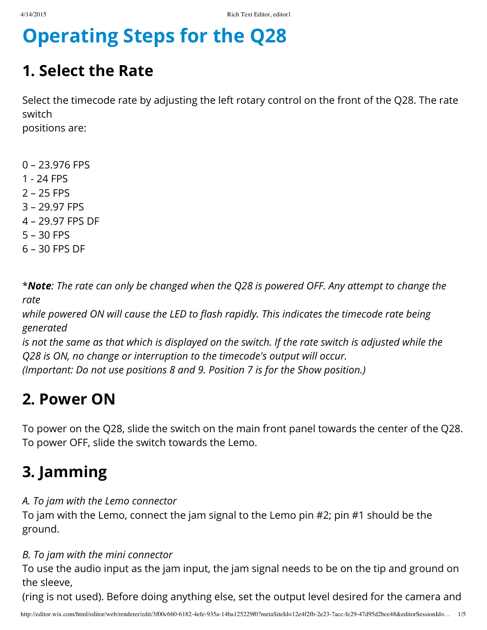# Operating Steps for the Q28

## 1. Select the Rate

Select the timecode rate by adjusting the left rotary control on the front of the Q28. The rate switch

positions are:

- 0 23.976 FPS 1 - 24 FPS 2 – 25 FPS 3 – 29.97 FPS 4 – 29.97 FPS DF 5 – 30 FPS
- 6 30 FPS DF

\***Note**: The rate can only be changed when the Q28 is powered OFF. Any attempt to change the rate

while powered ON will cause the LED to flash rapidly. This indicates the timecode rate being generated

is not the same as that which is displayed on the switch. If the rate switch is adjusted while the Q28 is ON, no change or interruption to the timecode's output will occur. (Important: Do not use positions 8 and 9. Position 7 is for the Show position.)

#### 2. Power ON

To power on the Q28, slide the switch on the main front panel towards the center of the Q28. To power OFF, slide the switch towards the Lemo.

# 3. Jamming

A. To jam with the Lemo connector

To jam with the Lemo, connect the jam signal to the Lemo pin #2; pin #1 should be the ground.

#### B. To jam with the mini connector

To use the audio input as the jam input, the jam signal needs to be on the tip and ground on the sleeve,

(ring is not used). Before doing anything else, set the output level desired for the camera and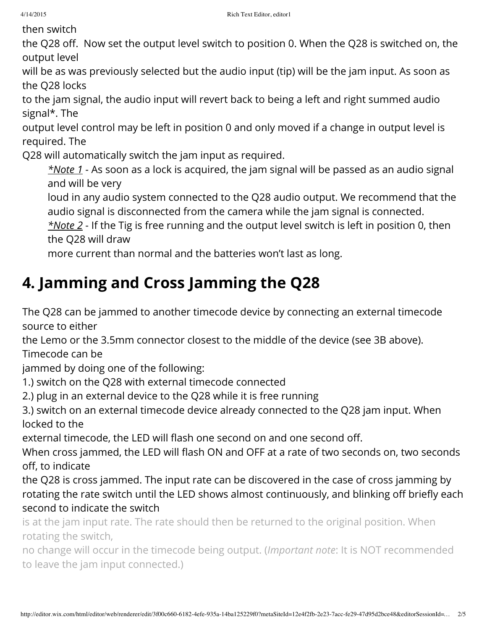then switch

the Q28 off. Now set the output level switch to position 0. When the Q28 is switched on, the output level

will be as was previously selected but the audio input (tip) will be the jam input. As soon as the Q28 locks

to the jam signal, the audio input will revert back to being a left and right summed audio signal\*. The

output level control may be left in position 0 and only moved if a change in output level is required. The

Q28 will automatically switch the jam input as required.

 $*$ Note 1 - As soon as a lock is acquired, the jam signal will be passed as an audio signal and will be very

loud in any audio system connected to the Q28 audio output. We recommend that the audio signal is disconnected from the camera while the jam signal is connected.

 $*$ Note 2 - If the Tig is free running and the output level switch is left in position 0, then the Q28 will draw

more current than normal and the batteries won't last as long.

# 4. Jamming and Cross Jamming the Q28

The Q28 can be jammed to another timecode device by connecting an external timecode source to either

the Lemo or the 3.5mm connector closest to the middle of the device (see 3B above). Timecode can be

jammed by doing one of the following:

1.) switch on the Q28 with external timecode connected

2.) plug in an external device to the Q28 while it is free running

3.) switch on an external timecode device already connected to the Q28 jam input. When locked to the

external timecode, the LED will flash one second on and one second off.

When cross jammed, the LED will flash ON and OFF at a rate of two seconds on, two seconds off, to indicate

the Q28 is cross jammed. The input rate can be discovered in the case of cross jamming by rotating the rate switch until the LED shows almost continuously, and blinking off briefly each second to indicate the switch

is at the jam input rate. The rate should then be returned to the original position. When rotating the switch,

no change will occur in the timecode being output. (Important note: It is NOT recommended to leave the jam input connected.)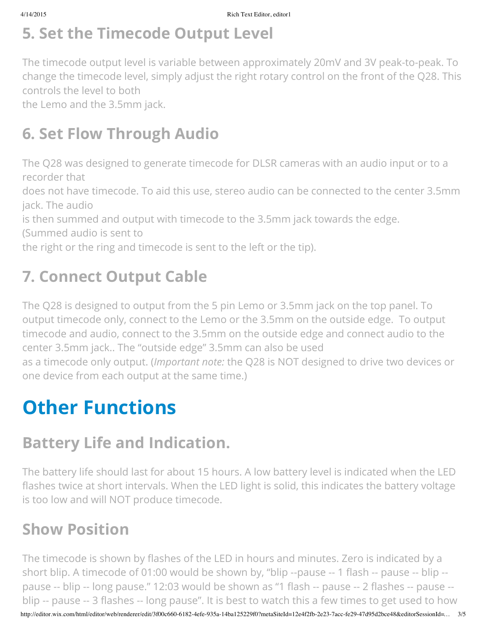## 5. Set the Timecode Output Level

The timecode output level is variable between approximately 20mV and 3V peak-to-peak. To change the timecode level, simply adjust the right rotary control on the front of the Q28. This controls the level to both

the Lemo and the 3.5mm jack.

## 6. Set Flow Through Audio

The Q28 was designed to generate timecode for DLSR cameras with an audio input or to a recorder that

does not have timecode. To aid this use, stereo audio can be connected to the center 3.5mm jack. The audio

is then summed and output with timecode to the 3.5mm jack towards the edge.

(Summed audio is sent to

the right or the ring and timecode is sent to the left or the tip).

# 7. Connect Output Cable

The Q28 is designed to output from the 5 pin Lemo or 3.5mm jack on the top panel. To output timecode only, connect to the Lemo or the 3.5mm on the outside edge. To output timecode and audio, connect to the 3.5mm on the outside edge and connect audio to the center 3.5mm jack.. The "outside edge" 3.5mm can also be used as a timecode only output. (Important note: the Q28 is NOT designed to drive two devices or one device from each output at the same time.)

# Other Functions

## Battery Life and Indication.

The battery life should last for about 15 hours. A low battery level is indicated when the LED flashes twice at short intervals. When the LED light is solid, this indicates the battery voltage is too low and will NOT produce timecode.

## Show Position

http://editor.wix.com/html/editor/web/renderer/edit/3f00c660-6182-4efe-935a-14ba125229f0?metaSiteId=12e4f2fb-2e23-7acc-fe29-47d95d2bce48&editorSessionId=… 3/5 The timecode is shown by flashes of the LED in hours and minutes. Zero is indicated by a short blip. A timecode of 01:00 would be shown by, "blip --pause -- 1 flash -- pause -- blip - pause -- blip -- long pause." 12:03 would be shown as "1 flash -- pause -- 2 flashes -- pause - blip -- pause -- 3 flashes -- long pause". It is best to watch this a few times to get used to how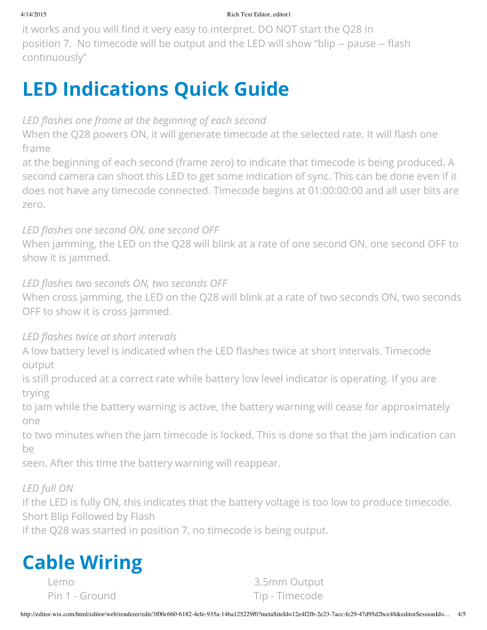#### 4/14/2015 Rich Text Editor, editor1

it works and you will find it very easy to interpret. DO NOT start the Q28 in position 7. No timecode will be output and the LED will show "blip -- pause -- flash continuously"

# LED Indications Quick Guide

#### LED flashes one frame at the beginning of each second

When the Q28 powers ON, it will generate timecode at the selected rate. It will flash one frame

at the beginning of each second (frame zero) to indicate that timecode is being produced. A second camera can shoot this LED to get some indication of sync. This can be done even if it does not have any timecode connected. Timecode begins at 01:00:00:00 and all user bits are zero.

#### LED flashes one second ON, one second OFF

When jamming, the LED on the Q28 will blink at a rate of one second ON, one second OFF to show it is jammed.

#### LED flashes two seconds ON, two seconds OFF

When cross jamming, the LED on the Q28 will blink at a rate of two seconds ON, two seconds OFF to show it is cross jammed.

#### LED flashes twice at short intervals

A low battery level is indicated when the LED flashes twice at short intervals. Timecode output

is still produced at a correct rate while battery low level indicator is operating. If you are trying

to jam while the battery warning is active, the battery warning will cease for approximately one

to two minutes when the jam timecode is locked. This is done so that the jam indication can be

seen. After this time the battery warning will reappear.

#### LED full ON

If the LED is fully ON, this indicates that the battery voltage is too low to produce timecode. Short Blip Followed by Flash

If the Q28 was started in position 7, no timecode is being output.



Lemo 3.5mm Output Pin 1 - Ground Tip - Timecode